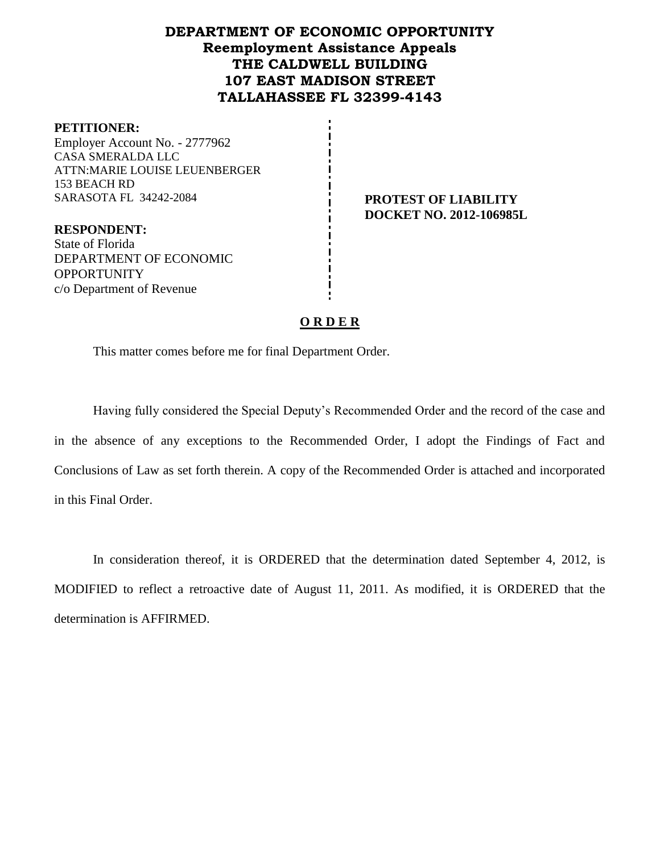# **DEPARTMENT OF ECONOMIC OPPORTUNITY Reemployment Assistance Appeals THE CALDWELL BUILDING 107 EAST MADISON STREET TALLAHASSEE FL 32399-4143**

#### **PETITIONER:**

Employer Account No. - 2777962 CASA SMERALDA LLC ATTN:MARIE LOUISE LEUENBERGER 153 BEACH RD SARASOTA FL 34242-2084 **PROTEST OF LIABILITY** 

**DOCKET NO. 2012-106985L**

**RESPONDENT:** State of Florida DEPARTMENT OF ECONOMIC OPPORTUNITY c/o Department of Revenue

#### **O R D E R**

This matter comes before me for final Department Order.

Having fully considered the Special Deputy's Recommended Order and the record of the case and in the absence of any exceptions to the Recommended Order, I adopt the Findings of Fact and Conclusions of Law as set forth therein. A copy of the Recommended Order is attached and incorporated in this Final Order.

In consideration thereof, it is ORDERED that the determination dated September 4, 2012, is MODIFIED to reflect a retroactive date of August 11, 2011. As modified, it is ORDERED that the determination is AFFIRMED.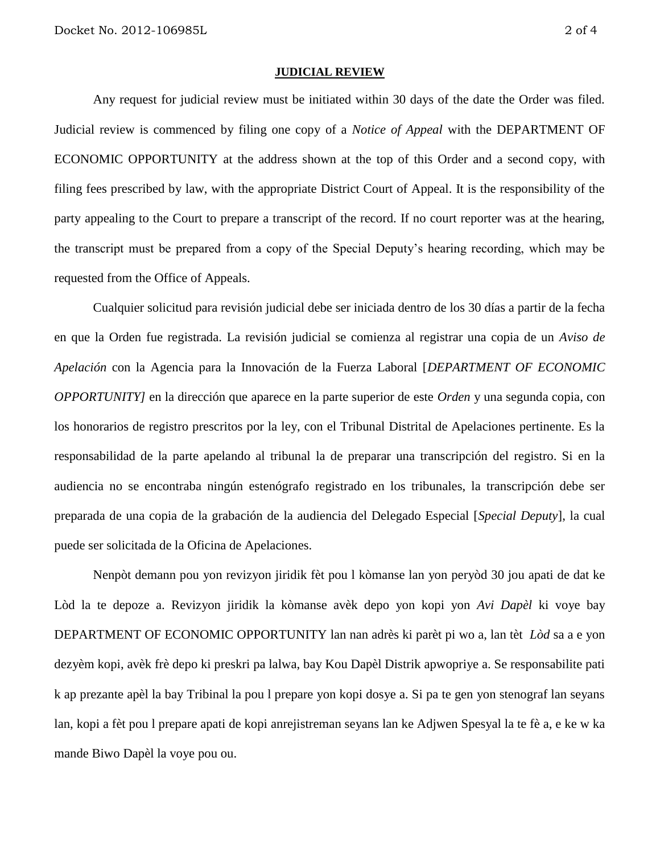#### **JUDICIAL REVIEW**

Any request for judicial review must be initiated within 30 days of the date the Order was filed. Judicial review is commenced by filing one copy of a *Notice of Appeal* with the DEPARTMENT OF ECONOMIC OPPORTUNITY at the address shown at the top of this Order and a second copy, with filing fees prescribed by law, with the appropriate District Court of Appeal. It is the responsibility of the party appealing to the Court to prepare a transcript of the record. If no court reporter was at the hearing, the transcript must be prepared from a copy of the Special Deputy's hearing recording, which may be requested from the Office of Appeals.

Cualquier solicitud para revisión judicial debe ser iniciada dentro de los 30 días a partir de la fecha en que la Orden fue registrada. La revisión judicial se comienza al registrar una copia de un *Aviso de Apelación* con la Agencia para la Innovación de la Fuerza Laboral [*DEPARTMENT OF ECONOMIC OPPORTUNITY]* en la dirección que aparece en la parte superior de este *Orden* y una segunda copia, con los honorarios de registro prescritos por la ley, con el Tribunal Distrital de Apelaciones pertinente. Es la responsabilidad de la parte apelando al tribunal la de preparar una transcripción del registro. Si en la audiencia no se encontraba ningún estenógrafo registrado en los tribunales, la transcripción debe ser preparada de una copia de la grabación de la audiencia del Delegado Especial [*Special Deputy*], la cual puede ser solicitada de la Oficina de Apelaciones.

Nenpòt demann pou yon revizyon jiridik fèt pou l kòmanse lan yon peryòd 30 jou apati de dat ke Lòd la te depoze a. Revizyon jiridik la kòmanse avèk depo yon kopi yon *Avi Dapèl* ki voye bay DEPARTMENT OF ECONOMIC OPPORTUNITY lan nan adrès ki parèt pi wo a, lan tèt *Lòd* sa a e yon dezyèm kopi, avèk frè depo ki preskri pa lalwa, bay Kou Dapèl Distrik apwopriye a. Se responsabilite pati k ap prezante apèl la bay Tribinal la pou l prepare yon kopi dosye a. Si pa te gen yon stenograf lan seyans lan, kopi a fèt pou l prepare apati de kopi anrejistreman seyans lan ke Adjwen Spesyal la te fè a, e ke w ka mande Biwo Dapèl la voye pou ou.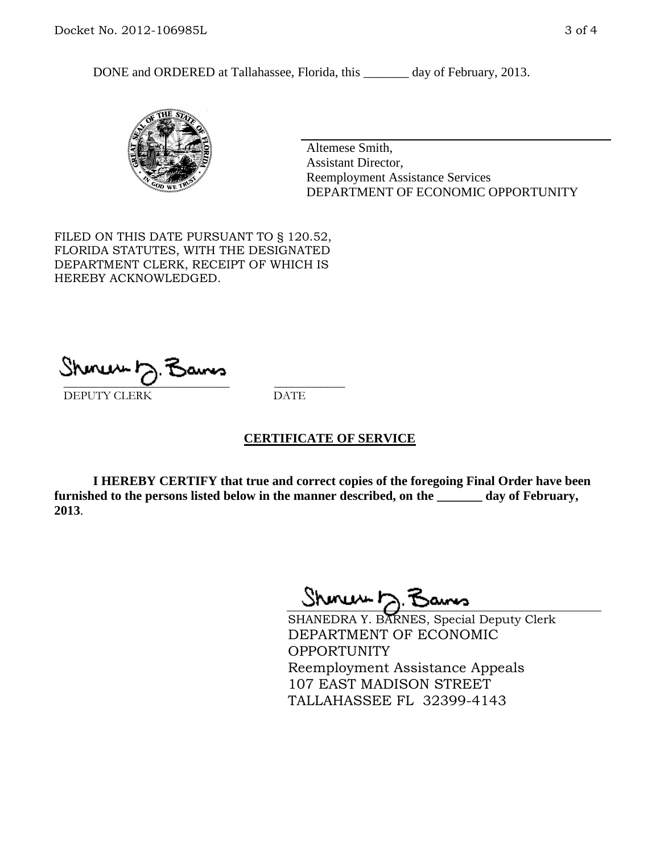DONE and ORDERED at Tallahassee, Florida, this \_\_\_\_\_\_\_ day of February, 2013.



Altemese Smith, Assistant Director, Reemployment Assistance Services DEPARTMENT OF ECONOMIC OPPORTUNITY

FILED ON THIS DATE PURSUANT TO § 120.52, FLORIDA STATUTES, WITH THE DESIGNATED DEPARTMENT CLERK, RECEIPT OF WHICH IS HEREBY ACKNOWLEDGED.

 $\overline{\phantom{a}}$  ,  $\overline{\phantom{a}}$  ,  $\overline{\phantom{a}}$  ,  $\overline{\phantom{a}}$  ,  $\overline{\phantom{a}}$  ,  $\overline{\phantom{a}}$  ,  $\overline{\phantom{a}}$  ,  $\overline{\phantom{a}}$ DEPUTY CLERK DATE

### **CERTIFICATE OF SERVICE**

**I HEREBY CERTIFY that true and correct copies of the foregoing Final Order have been furnished to the persons listed below in the manner described, on the \_\_\_\_\_\_\_ day of February, 2013**.

Sheren 5 Bans

SHANEDRA Y. BARNES, Special Deputy Clerk DEPARTMENT OF ECONOMIC OPPORTUNITY Reemployment Assistance Appeals 107 EAST MADISON STREET TALLAHASSEE FL 32399-4143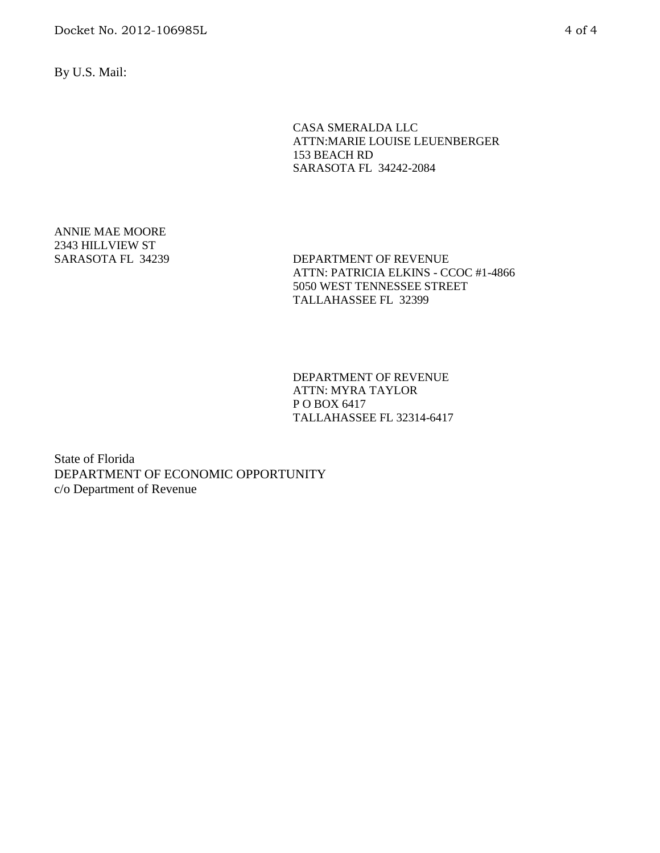By U.S. Mail:

CASA SMERALDA LLC ATTN:MARIE LOUISE LEUENBERGER 153 BEACH RD SARASOTA FL 34242-2084

ANNIE MAE MOORE 2343 HILLVIEW ST

SARASOTA FL 34239 DEPARTMENT OF REVENUE ATTN: PATRICIA ELKINS - CCOC #1-4866 5050 WEST TENNESSEE STREET TALLAHASSEE FL 32399

> DEPARTMENT OF REVENUE ATTN: MYRA TAYLOR P O BOX 6417 TALLAHASSEE FL 32314-6417

State of Florida DEPARTMENT OF ECONOMIC OPPORTUNITY c/o Department of Revenue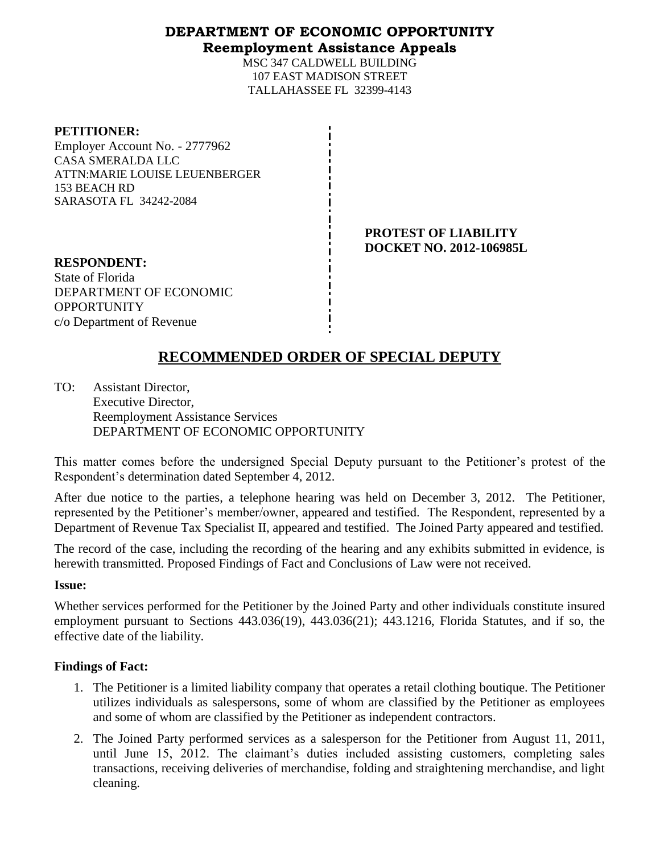# **DEPARTMENT OF ECONOMIC OPPORTUNITY Reemployment Assistance Appeals**

MSC 347 CALDWELL BUILDING 107 EAST MADISON STREET TALLAHASSEE FL 32399-4143

| <b>PETITIONER:</b>             |
|--------------------------------|
| Employer Account No. - 2777962 |
| <b>CASA SMERALDA LLC</b>       |
| ATTN:MARIE LOUISE LEUENBERGER  |
| 153 BEACH RD                   |
| <b>SARASOTA FL 34242-2084</b>  |
|                                |

**PETITIONER:**

**PROTEST OF LIABILITY DOCKET NO. 2012-106985L**

**RESPONDENT:** State of Florida DEPARTMENT OF ECONOMIC **OPPORTUNITY** c/o Department of Revenue

# **RECOMMENDED ORDER OF SPECIAL DEPUTY**

TO: Assistant Director, Executive Director, Reemployment Assistance Services DEPARTMENT OF ECONOMIC OPPORTUNITY

This matter comes before the undersigned Special Deputy pursuant to the Petitioner's protest of the Respondent's determination dated September 4, 2012.

After due notice to the parties, a telephone hearing was held on December 3, 2012. The Petitioner, represented by the Petitioner's member/owner, appeared and testified. The Respondent, represented by a Department of Revenue Tax Specialist II, appeared and testified. The Joined Party appeared and testified.

The record of the case, including the recording of the hearing and any exhibits submitted in evidence, is herewith transmitted. Proposed Findings of Fact and Conclusions of Law were not received.

### **Issue:**

Whether services performed for the Petitioner by the Joined Party and other individuals constitute insured employment pursuant to Sections 443.036(19), 443.036(21); 443.1216, Florida Statutes, and if so, the effective date of the liability.

# **Findings of Fact:**

- 1. The Petitioner is a limited liability company that operates a retail clothing boutique. The Petitioner utilizes individuals as salespersons, some of whom are classified by the Petitioner as employees and some of whom are classified by the Petitioner as independent contractors.
- 2. The Joined Party performed services as a salesperson for the Petitioner from August 11, 2011, until June 15, 2012. The claimant's duties included assisting customers, completing sales transactions, receiving deliveries of merchandise, folding and straightening merchandise, and light cleaning.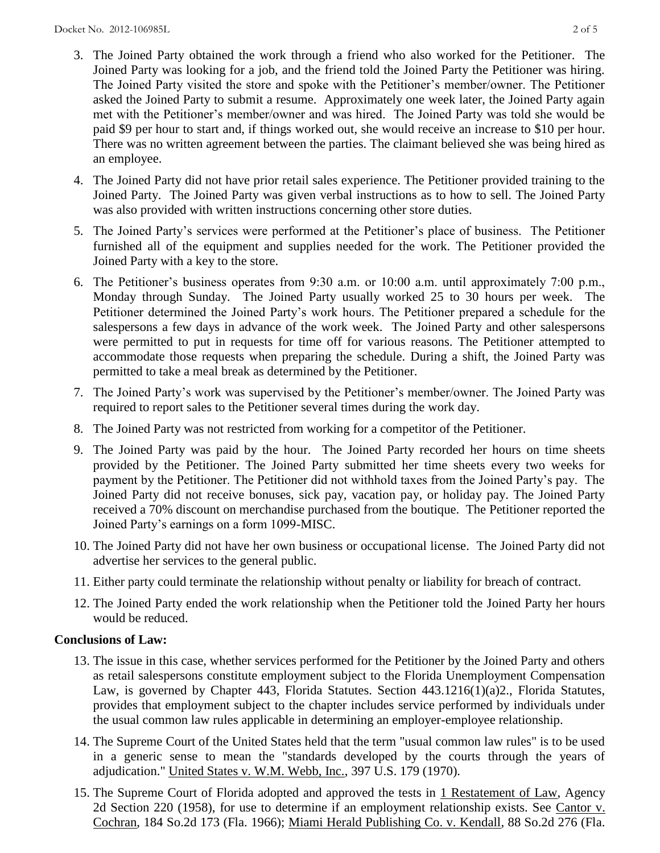- 3. The Joined Party obtained the work through a friend who also worked for the Petitioner. The Joined Party was looking for a job, and the friend told the Joined Party the Petitioner was hiring. The Joined Party visited the store and spoke with the Petitioner's member/owner. The Petitioner asked the Joined Party to submit a resume. Approximately one week later, the Joined Party again met with the Petitioner's member/owner and was hired. The Joined Party was told she would be paid \$9 per hour to start and, if things worked out, she would receive an increase to \$10 per hour. There was no written agreement between the parties. The claimant believed she was being hired as an employee.
- 4. The Joined Party did not have prior retail sales experience. The Petitioner provided training to the Joined Party. The Joined Party was given verbal instructions as to how to sell. The Joined Party was also provided with written instructions concerning other store duties.
- 5. The Joined Party's services were performed at the Petitioner's place of business. The Petitioner furnished all of the equipment and supplies needed for the work. The Petitioner provided the Joined Party with a key to the store.
- 6. The Petitioner's business operates from 9:30 a.m. or 10:00 a.m. until approximately 7:00 p.m., Monday through Sunday. The Joined Party usually worked 25 to 30 hours per week. The Petitioner determined the Joined Party's work hours. The Petitioner prepared a schedule for the salespersons a few days in advance of the work week. The Joined Party and other salespersons were permitted to put in requests for time off for various reasons. The Petitioner attempted to accommodate those requests when preparing the schedule. During a shift, the Joined Party was permitted to take a meal break as determined by the Petitioner.
- 7. The Joined Party's work was supervised by the Petitioner's member/owner. The Joined Party was required to report sales to the Petitioner several times during the work day.
- 8. The Joined Party was not restricted from working for a competitor of the Petitioner.
- 9. The Joined Party was paid by the hour. The Joined Party recorded her hours on time sheets provided by the Petitioner. The Joined Party submitted her time sheets every two weeks for payment by the Petitioner. The Petitioner did not withhold taxes from the Joined Party's pay. The Joined Party did not receive bonuses, sick pay, vacation pay, or holiday pay. The Joined Party received a 70% discount on merchandise purchased from the boutique. The Petitioner reported the Joined Party's earnings on a form 1099-MISC.
- 10. The Joined Party did not have her own business or occupational license. The Joined Party did not advertise her services to the general public.
- 11. Either party could terminate the relationship without penalty or liability for breach of contract.
- 12. The Joined Party ended the work relationship when the Petitioner told the Joined Party her hours would be reduced.

# **Conclusions of Law:**

- 13. The issue in this case, whether services performed for the Petitioner by the Joined Party and others as retail salespersons constitute employment subject to the Florida Unemployment Compensation Law, is governed by Chapter 443, Florida Statutes. Section 443.1216(1)(a)2., Florida Statutes, provides that employment subject to the chapter includes service performed by individuals under the usual common law rules applicable in determining an employer-employee relationship.
- 14. The Supreme Court of the United States held that the term "usual common law rules" is to be used in a generic sense to mean the "standards developed by the courts through the years of adjudication." United States v. W.M. Webb, Inc., 397 U.S. 179 (1970).
- 15. The Supreme Court of Florida adopted and approved the tests in 1 Restatement of Law, Agency 2d Section 220 (1958), for use to determine if an employment relationship exists. See Cantor v. Cochran, 184 So.2d 173 (Fla. 1966); Miami Herald Publishing Co. v. Kendall, 88 So.2d 276 (Fla.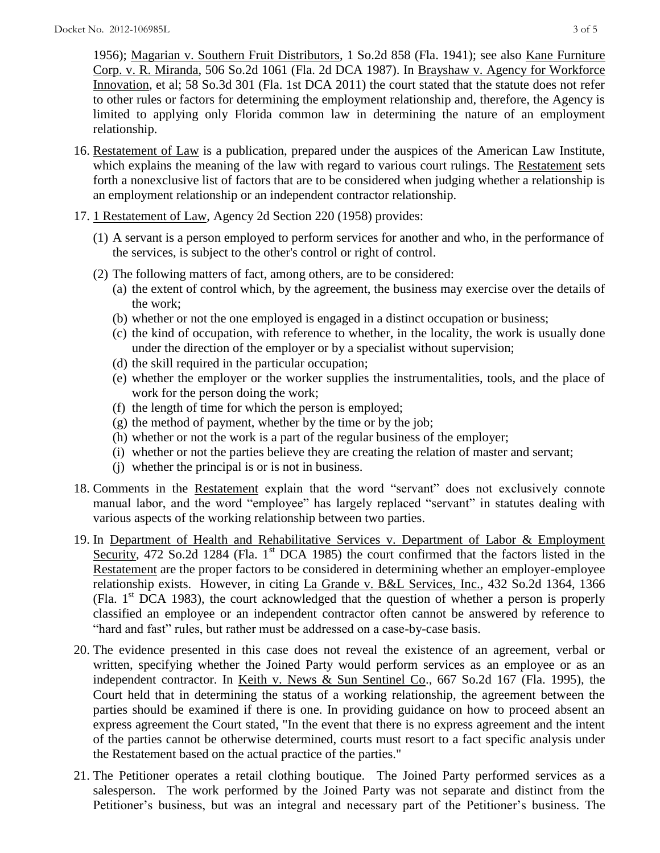1956); Magarian v. Southern Fruit Distributors, 1 So.2d 858 (Fla. 1941); see also Kane Furniture Corp. v. R. Miranda, 506 So.2d 1061 (Fla. 2d DCA 1987). In Brayshaw v. Agency for Workforce Innovation, et al; 58 So.3d 301 (Fla. 1st DCA 2011) the court stated that the statute does not refer to other rules or factors for determining the employment relationship and, therefore, the Agency is limited to applying only Florida common law in determining the nature of an employment relationship.

- 16. Restatement of Law is a publication, prepared under the auspices of the American Law Institute, which explains the meaning of the law with regard to various court rulings. The Restatement sets forth a nonexclusive list of factors that are to be considered when judging whether a relationship is an employment relationship or an independent contractor relationship.
- 17. 1 Restatement of Law, Agency 2d Section 220 (1958) provides:
	- (1) A servant is a person employed to perform services for another and who, in the performance of the services, is subject to the other's control or right of control.
	- (2) The following matters of fact, among others, are to be considered:
		- (a) the extent of control which, by the agreement, the business may exercise over the details of the work;
		- (b) whether or not the one employed is engaged in a distinct occupation or business;
		- (c) the kind of occupation, with reference to whether, in the locality, the work is usually done under the direction of the employer or by a specialist without supervision;
		- (d) the skill required in the particular occupation;
		- (e) whether the employer or the worker supplies the instrumentalities, tools, and the place of work for the person doing the work;
		- (f) the length of time for which the person is employed;
		- $(g)$  the method of payment, whether by the time or by the job;
		- (h) whether or not the work is a part of the regular business of the employer;
		- (i) whether or not the parties believe they are creating the relation of master and servant;
		- (j) whether the principal is or is not in business.
- 18. Comments in the Restatement explain that the word "servant" does not exclusively connote manual labor, and the word "employee" has largely replaced "servant" in statutes dealing with various aspects of the working relationship between two parties.
- 19. In Department of Health and Rehabilitative Services v. Department of Labor & Employment Security, 472 So.2d 1284 (Fla. 1<sup>st</sup> DCA 1985) the court confirmed that the factors listed in the Restatement are the proper factors to be considered in determining whether an employer-employee relationship exists. However, in citing La Grande v. B&L Services, Inc., 432 So.2d 1364, 1366 (Fla.  $1<sup>st</sup>$  DCA 1983), the court acknowledged that the question of whether a person is properly classified an employee or an independent contractor often cannot be answered by reference to "hard and fast" rules, but rather must be addressed on a case-by-case basis.
- 20. The evidence presented in this case does not reveal the existence of an agreement, verbal or written, specifying whether the Joined Party would perform services as an employee or as an independent contractor. In Keith v. News & Sun Sentinel Co., 667 So.2d 167 (Fla. 1995), the Court held that in determining the status of a working relationship, the agreement between the parties should be examined if there is one. In providing guidance on how to proceed absent an express agreement the Court stated, "In the event that there is no express agreement and the intent of the parties cannot be otherwise determined, courts must resort to a fact specific analysis under the Restatement based on the actual practice of the parties."
- 21. The Petitioner operates a retail clothing boutique. The Joined Party performed services as a salesperson. The work performed by the Joined Party was not separate and distinct from the Petitioner's business, but was an integral and necessary part of the Petitioner's business. The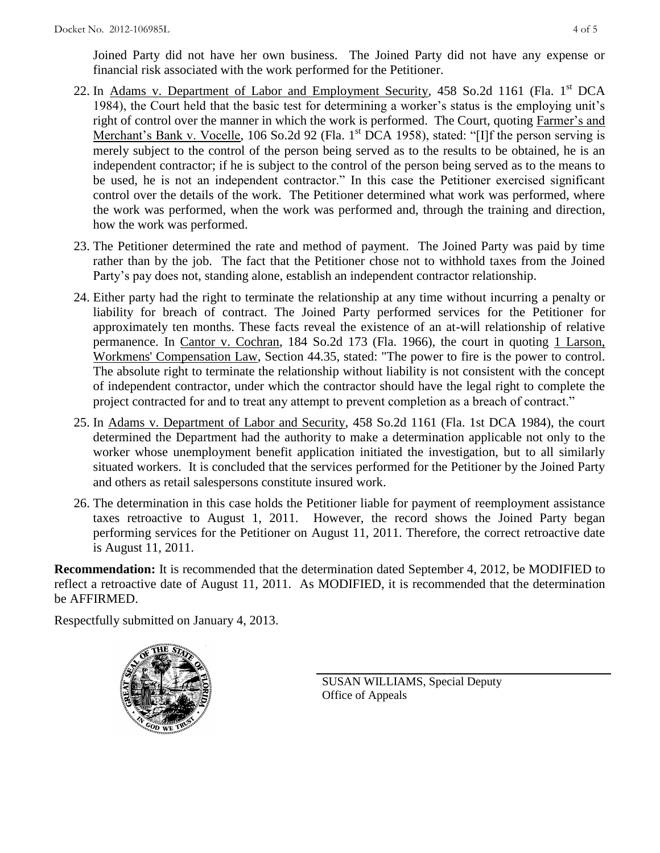Joined Party did not have her own business. The Joined Party did not have any expense or financial risk associated with the work performed for the Petitioner.

- 22. In Adams v. Department of Labor and Employment Security, 458 So.2d 1161 (Fla. 1<sup>st</sup> DCA 1984), the Court held that the basic test for determining a worker's status is the employing unit's right of control over the manner in which the work is performed. The Court, quoting Farmer's and Merchant's Bank v. Vocelle, 106 So.2d 92 (Fla. 1<sup>st</sup> DCA 1958), stated: "[I]f the person serving is merely subject to the control of the person being served as to the results to be obtained, he is an independent contractor; if he is subject to the control of the person being served as to the means to be used, he is not an independent contractor." In this case the Petitioner exercised significant control over the details of the work. The Petitioner determined what work was performed, where the work was performed, when the work was performed and, through the training and direction, how the work was performed.
- 23. The Petitioner determined the rate and method of payment. The Joined Party was paid by time rather than by the job. The fact that the Petitioner chose not to withhold taxes from the Joined Party's pay does not, standing alone, establish an independent contractor relationship.
- 24. Either party had the right to terminate the relationship at any time without incurring a penalty or liability for breach of contract. The Joined Party performed services for the Petitioner for approximately ten months. These facts reveal the existence of an at-will relationship of relative permanence. In Cantor v. Cochran, 184 So.2d 173 (Fla. 1966), the court in quoting 1 Larson, Workmens' Compensation Law, Section 44.35, stated: "The power to fire is the power to control. The absolute right to terminate the relationship without liability is not consistent with the concept of independent contractor, under which the contractor should have the legal right to complete the project contracted for and to treat any attempt to prevent completion as a breach of contract."
- 25. In Adams v. Department of Labor and Security, 458 So.2d 1161 (Fla. 1st DCA 1984), the court determined the Department had the authority to make a determination applicable not only to the worker whose unemployment benefit application initiated the investigation, but to all similarly situated workers. It is concluded that the services performed for the Petitioner by the Joined Party and others as retail salespersons constitute insured work.
- 26. The determination in this case holds the Petitioner liable for payment of reemployment assistance taxes retroactive to August 1, 2011. However, the record shows the Joined Party began performing services for the Petitioner on August 11, 2011. Therefore, the correct retroactive date is August 11, 2011.

**Recommendation:** It is recommended that the determination dated September 4, 2012, be MODIFIED to reflect a retroactive date of August 11, 2011. As MODIFIED, it is recommended that the determination be AFFIRMED.

Respectfully submitted on January 4, 2013.



SUSAN WILLIAMS, Special Deputy Office of Appeals